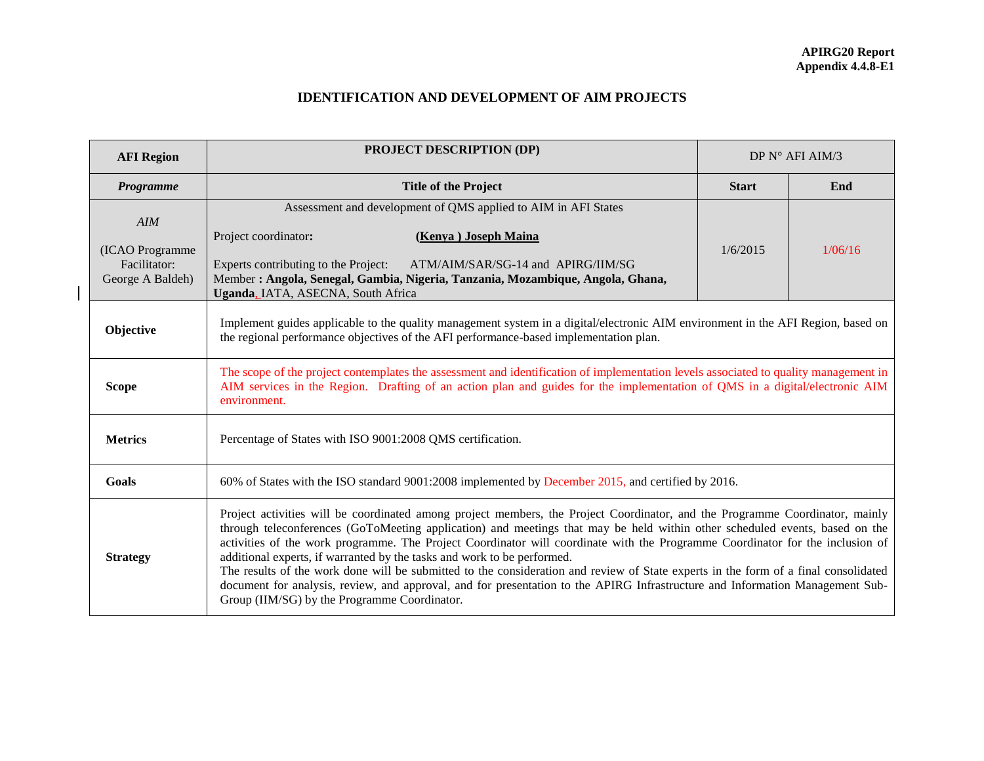## **IDENTIFICATION AND DEVELOPMENT OF AIM PROJECTS**

| <b>AFI Region</b>                                          | <b>PROJECT DESCRIPTION (DP)</b><br>DP N° AFI AIM/3                                                                                                                                                                                                                                                                                                                                                                                                                                                                                                                                                                                                                                                                                                                                              |              |         |  |  |
|------------------------------------------------------------|-------------------------------------------------------------------------------------------------------------------------------------------------------------------------------------------------------------------------------------------------------------------------------------------------------------------------------------------------------------------------------------------------------------------------------------------------------------------------------------------------------------------------------------------------------------------------------------------------------------------------------------------------------------------------------------------------------------------------------------------------------------------------------------------------|--------------|---------|--|--|
| Programme                                                  | <b>Title of the Project</b>                                                                                                                                                                                                                                                                                                                                                                                                                                                                                                                                                                                                                                                                                                                                                                     | <b>Start</b> | End     |  |  |
| AIM<br>(ICAO Programme<br>Facilitator:<br>George A Baldeh) | Assessment and development of QMS applied to AIM in AFI States<br>Project coordinator:<br>(Kenya) Joseph Maina<br>Experts contributing to the Project:<br>ATM/AIM/SAR/SG-14 and APIRG/IIM/SG<br>Member: Angola, Senegal, Gambia, Nigeria, Tanzania, Mozambique, Angola, Ghana,<br>Uganda, IATA, ASECNA, South Africa                                                                                                                                                                                                                                                                                                                                                                                                                                                                            | 1/6/2015     | 1/06/16 |  |  |
| Objective                                                  | Implement guides applicable to the quality management system in a digital/electronic AIM environment in the AFI Region, based on<br>the regional performance objectives of the AFI performance-based implementation plan.                                                                                                                                                                                                                                                                                                                                                                                                                                                                                                                                                                       |              |         |  |  |
| <b>Scope</b>                                               | The scope of the project contemplates the assessment and identification of implementation levels associated to quality management in<br>AIM services in the Region. Drafting of an action plan and guides for the implementation of QMS in a digital/electronic AIM<br>environment.                                                                                                                                                                                                                                                                                                                                                                                                                                                                                                             |              |         |  |  |
| <b>Metrics</b>                                             | Percentage of States with ISO 9001:2008 QMS certification.                                                                                                                                                                                                                                                                                                                                                                                                                                                                                                                                                                                                                                                                                                                                      |              |         |  |  |
| Goals                                                      | 60% of States with the ISO standard 9001:2008 implemented by December 2015, and certified by 2016.                                                                                                                                                                                                                                                                                                                                                                                                                                                                                                                                                                                                                                                                                              |              |         |  |  |
| <b>Strategy</b>                                            | Project activities will be coordinated among project members, the Project Coordinator, and the Programme Coordinator, mainly<br>through teleconferences (GoToMeeting application) and meetings that may be held within other scheduled events, based on the<br>activities of the work programme. The Project Coordinator will coordinate with the Programme Coordinator for the inclusion of<br>additional experts, if warranted by the tasks and work to be performed.<br>The results of the work done will be submitted to the consideration and review of State experts in the form of a final consolidated<br>document for analysis, review, and approval, and for presentation to the APIRG Infrastructure and Information Management Sub-<br>Group (IIM/SG) by the Programme Coordinator. |              |         |  |  |

 $\overline{\phantom{a}}$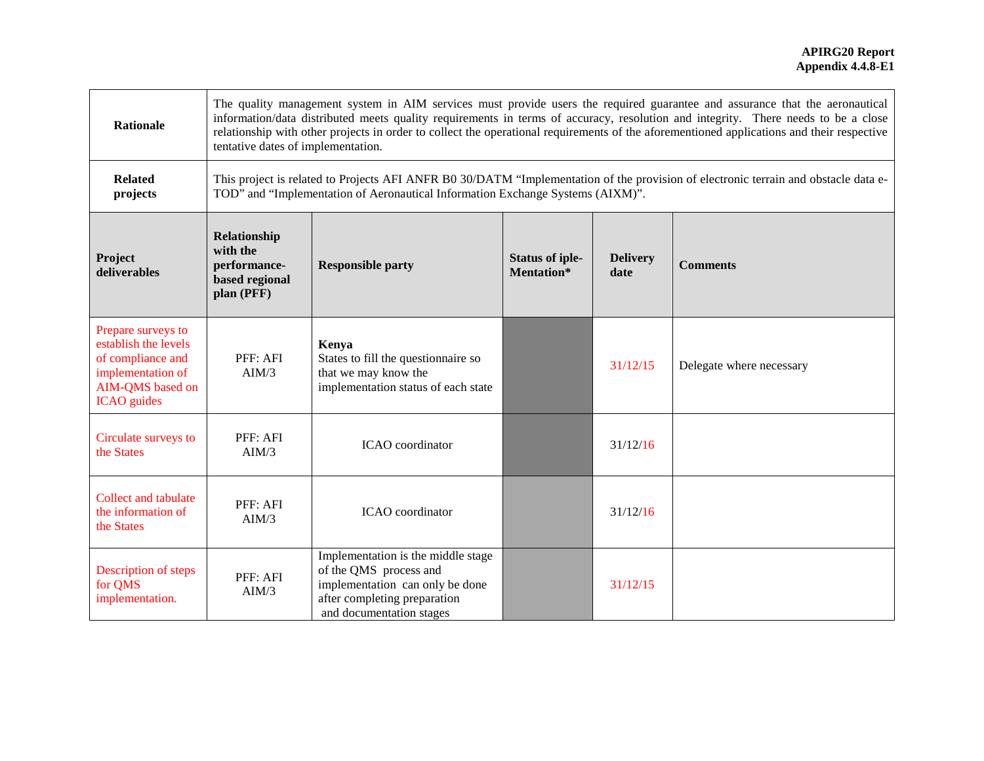| <b>Rationale</b>                                                                                                               | The quality management system in AIM services must provide users the required guarantee and assurance that the aeronautical<br>information/data distributed meets quality requirements in terms of accuracy, resolution and integrity. There needs to be a close<br>relationship with other projects in order to collect the operational requirements of the aforementioned applications and their respective<br>tentative dates of implementation. |                                                                                                                                                                                                                       |                                      |                         |                          |
|--------------------------------------------------------------------------------------------------------------------------------|-----------------------------------------------------------------------------------------------------------------------------------------------------------------------------------------------------------------------------------------------------------------------------------------------------------------------------------------------------------------------------------------------------------------------------------------------------|-----------------------------------------------------------------------------------------------------------------------------------------------------------------------------------------------------------------------|--------------------------------------|-------------------------|--------------------------|
| <b>Related</b><br>projects                                                                                                     |                                                                                                                                                                                                                                                                                                                                                                                                                                                     | This project is related to Projects AFI ANFR B0 30/DATM "Implementation of the provision of electronic terrain and obstacle data e-<br>TOD" and "Implementation of Aeronautical Information Exchange Systems (AIXM)". |                                      |                         |                          |
| Project<br>deliverables                                                                                                        | Relationship<br>with the<br>performance-<br><b>Responsible party</b><br>based regional<br>plan (PFF)                                                                                                                                                                                                                                                                                                                                                |                                                                                                                                                                                                                       | <b>Status of iple-</b><br>Mentation* | <b>Delivery</b><br>date | <b>Comments</b>          |
| Prepare surveys to<br>establish the levels<br>of compliance and<br>implementation of<br>AIM-QMS based on<br><b>ICAO</b> guides | PFF: AFI<br>AIM/3                                                                                                                                                                                                                                                                                                                                                                                                                                   | Kenya<br>States to fill the questionnaire so<br>that we may know the<br>implementation status of each state                                                                                                           |                                      | 31/12/15                | Delegate where necessary |
| Circulate surveys to<br>the States                                                                                             | PFF: AFI<br>AIM/3                                                                                                                                                                                                                                                                                                                                                                                                                                   | ICAO coordinator                                                                                                                                                                                                      |                                      | 31/12/16                |                          |
| <b>Collect and tabulate</b><br>the information of<br>the States                                                                | PFF: AFI<br>AIM/3                                                                                                                                                                                                                                                                                                                                                                                                                                   | ICAO coordinator                                                                                                                                                                                                      |                                      | 31/12/16                |                          |
| Description of steps<br>for QMS<br>implementation.                                                                             | PFF: AFI<br>AIM/3                                                                                                                                                                                                                                                                                                                                                                                                                                   | Implementation is the middle stage<br>of the QMS process and<br>implementation can only be done<br>after completing preparation<br>and documentation stages                                                           |                                      | 31/12/15                |                          |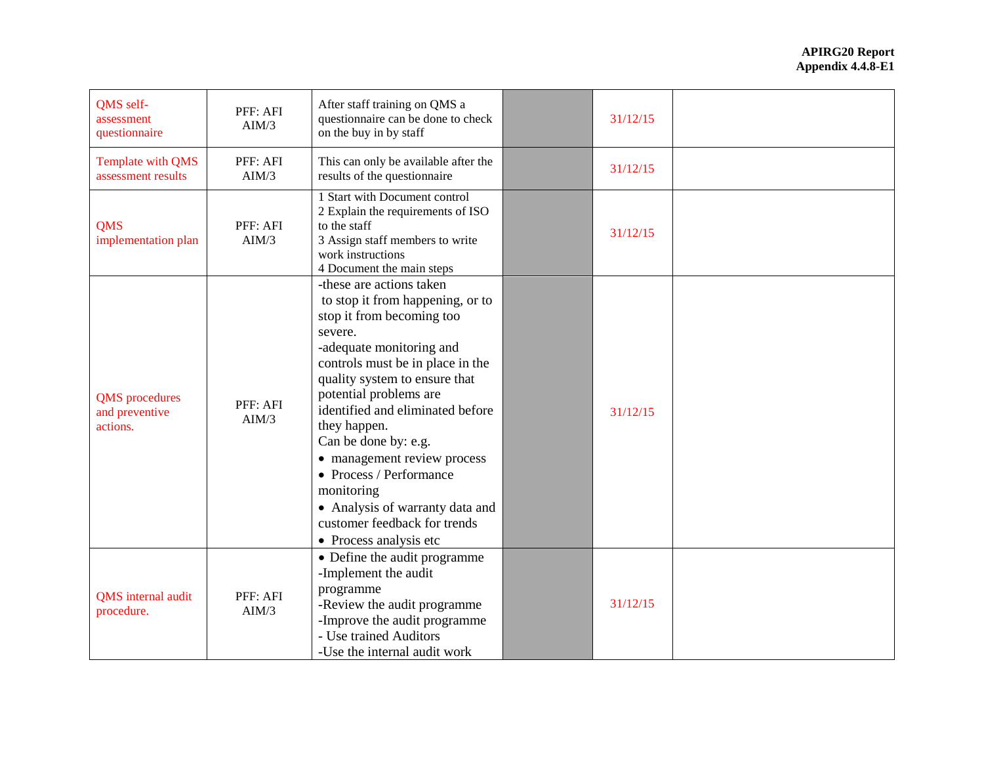| QMS self-<br>assessment<br>questionnaire            | PFF: AFI<br>AIM/3 | After staff training on QMS a<br>questionnaire can be done to check<br>on the buy in by staff                                                                                                                                                                                                                                                                                                                                                                                    | 31/12/15 |  |
|-----------------------------------------------------|-------------------|----------------------------------------------------------------------------------------------------------------------------------------------------------------------------------------------------------------------------------------------------------------------------------------------------------------------------------------------------------------------------------------------------------------------------------------------------------------------------------|----------|--|
| Template with QMS<br>assessment results             | PFF: AFI<br>AIM/3 | This can only be available after the<br>results of the questionnaire                                                                                                                                                                                                                                                                                                                                                                                                             | 31/12/15 |  |
| <b>QMS</b><br>implementation plan                   | PFF: AFI<br>AIM/3 | 1 Start with Document control<br>2 Explain the requirements of ISO<br>to the staff<br>3 Assign staff members to write<br>work instructions<br>4 Document the main steps                                                                                                                                                                                                                                                                                                          | 31/12/15 |  |
| <b>QMS</b> procedures<br>and preventive<br>actions. | PFF: AFI<br>AIM/3 | -these are actions taken<br>to stop it from happening, or to<br>stop it from becoming too<br>severe.<br>-adequate monitoring and<br>controls must be in place in the<br>quality system to ensure that<br>potential problems are<br>identified and eliminated before<br>they happen.<br>Can be done by: e.g.<br>• management review process<br>• Process / Performance<br>monitoring<br>• Analysis of warranty data and<br>customer feedback for trends<br>• Process analysis etc | 31/12/15 |  |
| QMS internal audit<br>procedure.                    | PFF: AFI<br>AIM/3 | • Define the audit programme<br>-Implement the audit<br>programme<br>-Review the audit programme<br>-Improve the audit programme<br>- Use trained Auditors<br>-Use the internal audit work                                                                                                                                                                                                                                                                                       | 31/12/15 |  |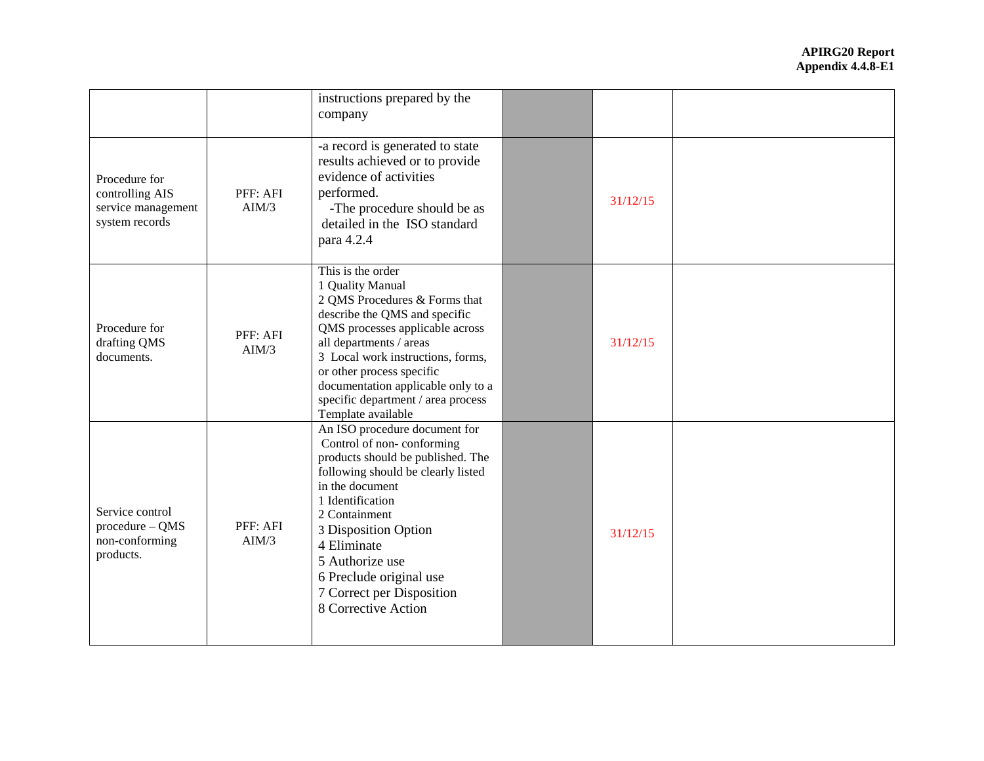|                                                                          |                   | instructions prepared by the<br>company                                                                                                                                                                                                                                                                                                   |          |  |
|--------------------------------------------------------------------------|-------------------|-------------------------------------------------------------------------------------------------------------------------------------------------------------------------------------------------------------------------------------------------------------------------------------------------------------------------------------------|----------|--|
| Procedure for<br>controlling AIS<br>service management<br>system records | PFF: AFI<br>AIM/3 | -a record is generated to state<br>results achieved or to provide<br>evidence of activities<br>performed.<br>-The procedure should be as<br>detailed in the ISO standard<br>para 4.2.4                                                                                                                                                    | 31/12/15 |  |
| Procedure for<br>drafting QMS<br>documents.                              | PFF: AFI<br>AIM/3 | This is the order<br>1 Quality Manual<br>2 QMS Procedures & Forms that<br>describe the QMS and specific<br>QMS processes applicable across<br>all departments / areas<br>3 Local work instructions, forms,<br>or other process specific<br>documentation applicable only to a<br>specific department / area process<br>Template available | 31/12/15 |  |
| Service control<br>procedure - QMS<br>non-conforming<br>products.        | PFF: AFI<br>AIM/3 | An ISO procedure document for<br>Control of non-conforming<br>products should be published. The<br>following should be clearly listed<br>in the document<br>1 Identification<br>2 Containment<br>3 Disposition Option<br>4 Eliminate<br>5 Authorize use<br>6 Preclude original use<br>7 Correct per Disposition<br>8 Corrective Action    | 31/12/15 |  |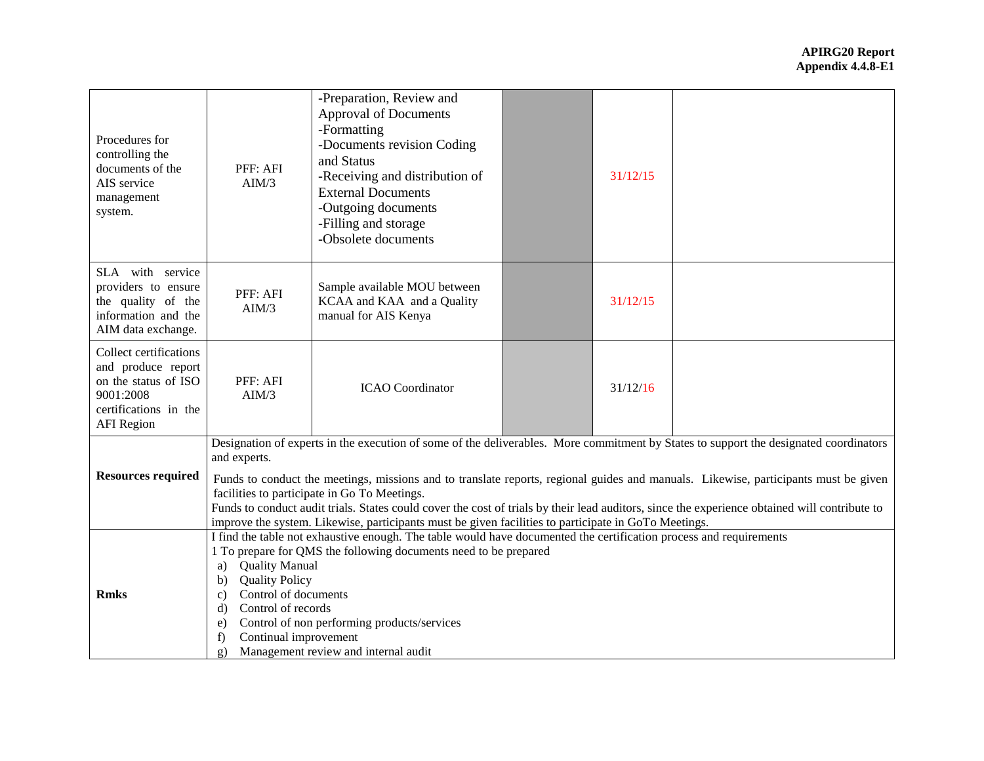| Procedures for<br>controlling the<br>documents of the<br>AIS service<br>management<br>system.                                   | PFF: AFI<br>AIM/3                                                                                                                                                                                                                                                                                                                                                                                                                                                                                                                                                                                     | -Preparation, Review and<br><b>Approval of Documents</b><br>-Formatting<br>-Documents revision Coding<br>and Status<br>-Receiving and distribution of<br><b>External Documents</b><br>-Outgoing documents<br>-Filling and storage<br>-Obsolete documents |  | 31/12/15 |  |
|---------------------------------------------------------------------------------------------------------------------------------|-------------------------------------------------------------------------------------------------------------------------------------------------------------------------------------------------------------------------------------------------------------------------------------------------------------------------------------------------------------------------------------------------------------------------------------------------------------------------------------------------------------------------------------------------------------------------------------------------------|----------------------------------------------------------------------------------------------------------------------------------------------------------------------------------------------------------------------------------------------------------|--|----------|--|
| SLA with service<br>providers to ensure<br>the quality of the<br>information and the<br>AIM data exchange.                      | PFF: AFI<br>AIM/3                                                                                                                                                                                                                                                                                                                                                                                                                                                                                                                                                                                     | Sample available MOU between<br>KCAA and KAA and a Quality<br>manual for AIS Kenya                                                                                                                                                                       |  | 31/12/15 |  |
| Collect certifications<br>and produce report<br>on the status of ISO<br>9001:2008<br>certifications in the<br><b>AFI</b> Region | PFF: AFI<br>AIM/3                                                                                                                                                                                                                                                                                                                                                                                                                                                                                                                                                                                     | <b>ICAO</b> Coordinator                                                                                                                                                                                                                                  |  | 31/12/16 |  |
| <b>Resources required</b>                                                                                                       | Designation of experts in the execution of some of the deliverables. More commitment by States to support the designated coordinators<br>and experts.<br>Funds to conduct the meetings, missions and to translate reports, regional guides and manuals. Likewise, participants must be given<br>facilities to participate in Go To Meetings.<br>Funds to conduct audit trials. States could cover the cost of trials by their lead auditors, since the experience obtained will contribute to<br>improve the system. Likewise, participants must be given facilities to participate in GoTo Meetings. |                                                                                                                                                                                                                                                          |  |          |  |
| <b>Rmks</b>                                                                                                                     | I find the table not exhaustive enough. The table would have documented the certification process and requirements<br>1 To prepare for QMS the following documents need to be prepared<br><b>Quality Manual</b><br>a)<br><b>Quality Policy</b><br>b)<br>Control of documents<br>$\mathbf{c}$<br>Control of records<br>d)<br>Control of non performing products/services<br>$\epsilon$ )<br>Continual improvement<br>f<br>Management review and internal audit<br>$\mathbf{g}$ )                                                                                                                       |                                                                                                                                                                                                                                                          |  |          |  |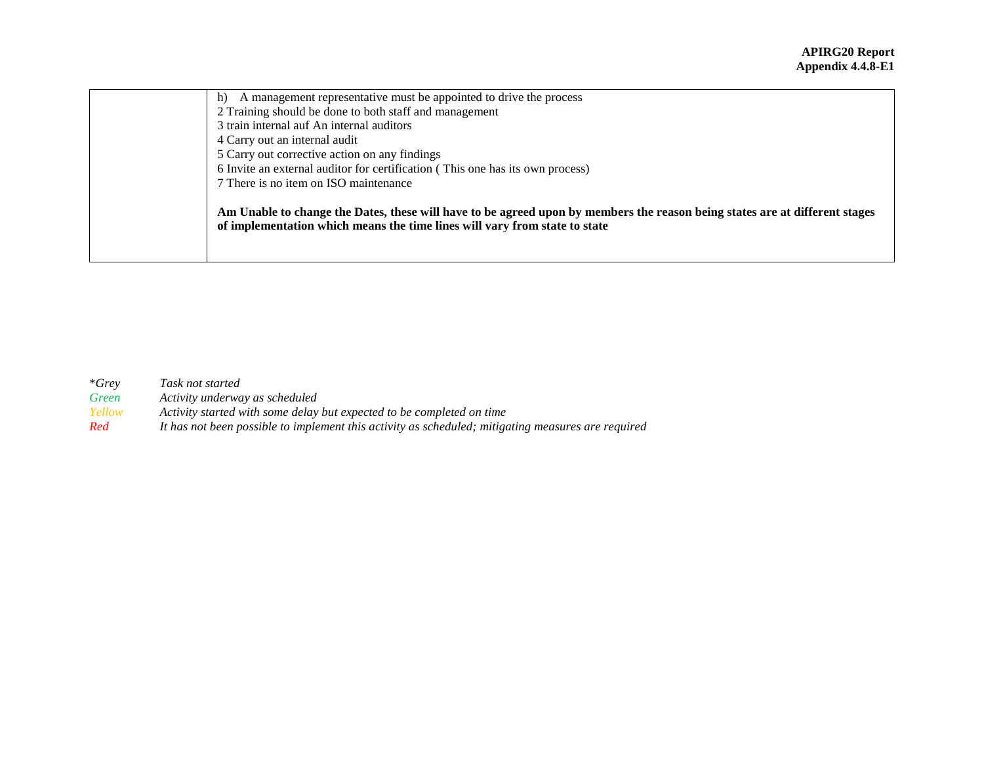| A management representative must be appointed to drive the process<br>h)                                                                                                                                  |
|-----------------------------------------------------------------------------------------------------------------------------------------------------------------------------------------------------------|
| 2 Training should be done to both staff and management                                                                                                                                                    |
| 3 train internal auf An internal auditors                                                                                                                                                                 |
| 4 Carry out an internal audit                                                                                                                                                                             |
| 5 Carry out corrective action on any findings                                                                                                                                                             |
| 6 Invite an external auditor for certification (This one has its own process)                                                                                                                             |
| 7 There is no item on ISO maintenance                                                                                                                                                                     |
| Am Unable to change the Dates, these will have to be agreed upon by members the reason being states are at different stages<br>of implementation which means the time lines will vary from state to state |

| $*Grev$ | Task not started                                                                                   |
|---------|----------------------------------------------------------------------------------------------------|
| Green   | Activity underway as scheduled                                                                     |
| Yellow  | Activity started with some delay but expected to be completed on time                              |
| Red     | It has not been possible to implement this activity as scheduled; mitigating measures are required |